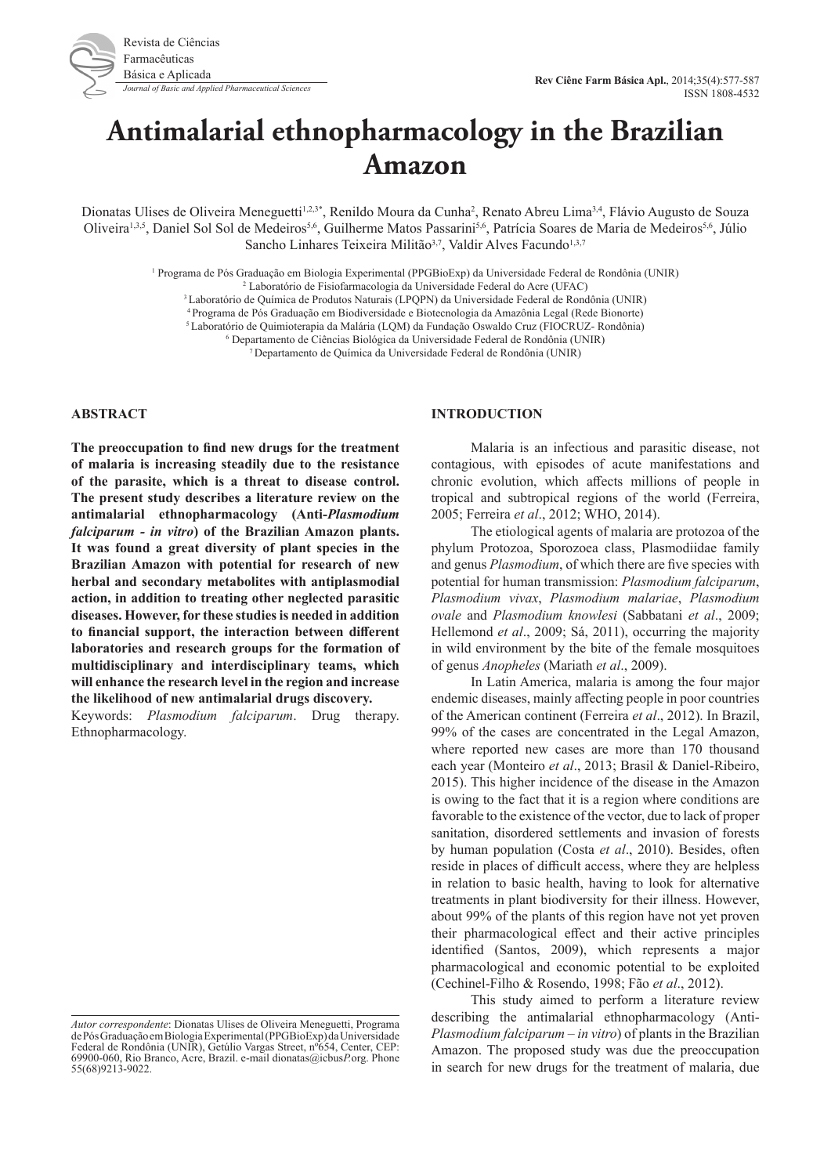

*Journal of Basic and Applied Pharmaceutical Sciences* **Rev Ciênc Farm Básica Apl.**, 2014;35(4):577-587<br>*Journal of Basic and Applied Pharmaceutical Sciences* ISSN 1808-4532

# **Antimalarial ethnopharmacology in the Brazilian Amazon**

Dionatas Ulises de Oliveira Meneguetti<sup>1,2,3\*</sup>, Renildo Moura da Cunha<sup>2</sup>, Renato Abreu Lima<sup>3,4</sup>, Flávio Augusto de Souza Oliveira<sup>1,3,5</sup>, Daniel Sol Sol de Medeiros<sup>5,6</sup>, Guilherme Matos Passarini<sup>5,6</sup>, Patrícia Soares de Maria de Medeiros<sup>5,6</sup>, Júlio Sancho Linhares Teixeira Militão<sup>3,7</sup>, Valdir Alves Facundo<sup>1,3,7</sup>

1 Programa de Pós Graduação em Biologia Experimental (PPGBioExp) da Universidade Federal de Rondônia (UNIR)

2 Laboratório de Fisiofarmacologia da Universidade Federal do Acre (UFAC)

3 Laboratório de Química de Produtos Naturais (LPQPN) da Universidade Federal de Rondônia (UNIR)

4 Programa de Pós Graduação em Biodiversidade e Biotecnologia da Amazônia Legal (Rede Bionorte)

5 Laboratório de Quimioterapia da Malária (LQM) da Fundação Oswaldo Cruz (FIOCRUZ- Rondônia)

6 Departamento de Ciências Biológica da Universidade Federal de Rondônia (UNIR)

7 Departamento de Química da Universidade Federal de Rondônia (UNIR)

#### **ABSTRACT**

**The preoccupation to find new drugs for the treatment of malaria is increasing steadily due to the resistance of the parasite, which is a threat to disease control. The present study describes a literature review on the antimalarial ethnopharmacology (Anti-***Plasmodium falciparum - in vitro***) of the Brazilian Amazon plants. It was found a great diversity of plant species in the Brazilian Amazon with potential for research of new herbal and secondary metabolites with antiplasmodial action, in addition to treating other neglected parasitic diseases. However, for these studies is needed in addition to financial support, the interaction between different laboratories and research groups for the formation of multidisciplinary and interdisciplinary teams, which will enhance the research level in the region and increase the likelihood of new antimalarial drugs discovery.**

Keywords: *Plasmodium falciparum*. Drug therapy. Ethnopharmacology.

#### **INTRODUCTION**

Malaria is an infectious and parasitic disease, not contagious, with episodes of acute manifestations and chronic evolution, which affects millions of people in tropical and subtropical regions of the world (Ferreira, 2005; Ferreira *et al*., 2012; WHO, 2014).

The etiological agents of malaria are protozoa of the phylum Protozoa, Sporozoea class, Plasmodiidae family and genus *Plasmodium*, of which there are five species with potential for human transmission: *Plasmodium falciparum*, *Plasmodium vivax*, *Plasmodium malariae*, *Plasmodium ovale* and *Plasmodium knowlesi* (Sabbatani *et al*., 2009; Hellemond *et al*., 2009; Sá, 2011), occurring the majority in wild environment by the bite of the female mosquitoes of genus *Anopheles* (Mariath *et al*., 2009).

In Latin America, malaria is among the four major endemic diseases, mainly affecting people in poor countries of the American continent (Ferreira *et al*., 2012). In Brazil, 99% of the cases are concentrated in the Legal Amazon, where reported new cases are more than 170 thousand each year (Monteiro *et al*., 2013; Brasil & Daniel-Ribeiro, 2015). This higher incidence of the disease in the Amazon is owing to the fact that it is a region where conditions are favorable to the existence of the vector, due to lack of proper sanitation, disordered settlements and invasion of forests by human population (Costa *et al*., 2010). Besides, often reside in places of difficult access, where they are helpless in relation to basic health, having to look for alternative treatments in plant biodiversity for their illness. However, about 99% of the plants of this region have not yet proven their pharmacological effect and their active principles identified (Santos, 2009), which represents a major pharmacological and economic potential to be exploited (Cechinel-Filho & Rosendo, 1998; Fão *et al*., 2012).

This study aimed to perform a literature review describing the antimalarial ethnopharmacology (Anti-*Plasmodium falciparum* – *in vitro*) of plants in the Brazilian Amazon. The proposed study was due the preoccupation in search for new drugs for the treatment of malaria, due

*Autor correspondente*: Dionatas Ulises de Oliveira Meneguetti, Programa de Pós Graduação em Biologia Experimental (PPGBioExp) da Universidade Federal de Rondônia (UNIR), Getúlio Vargas Street, nº654, Center, CEP: 69900-060, Rio Branco, Acre, Brazil. e-mail dionatas@icbus*P.*org. Phone 55(68)9213-9022.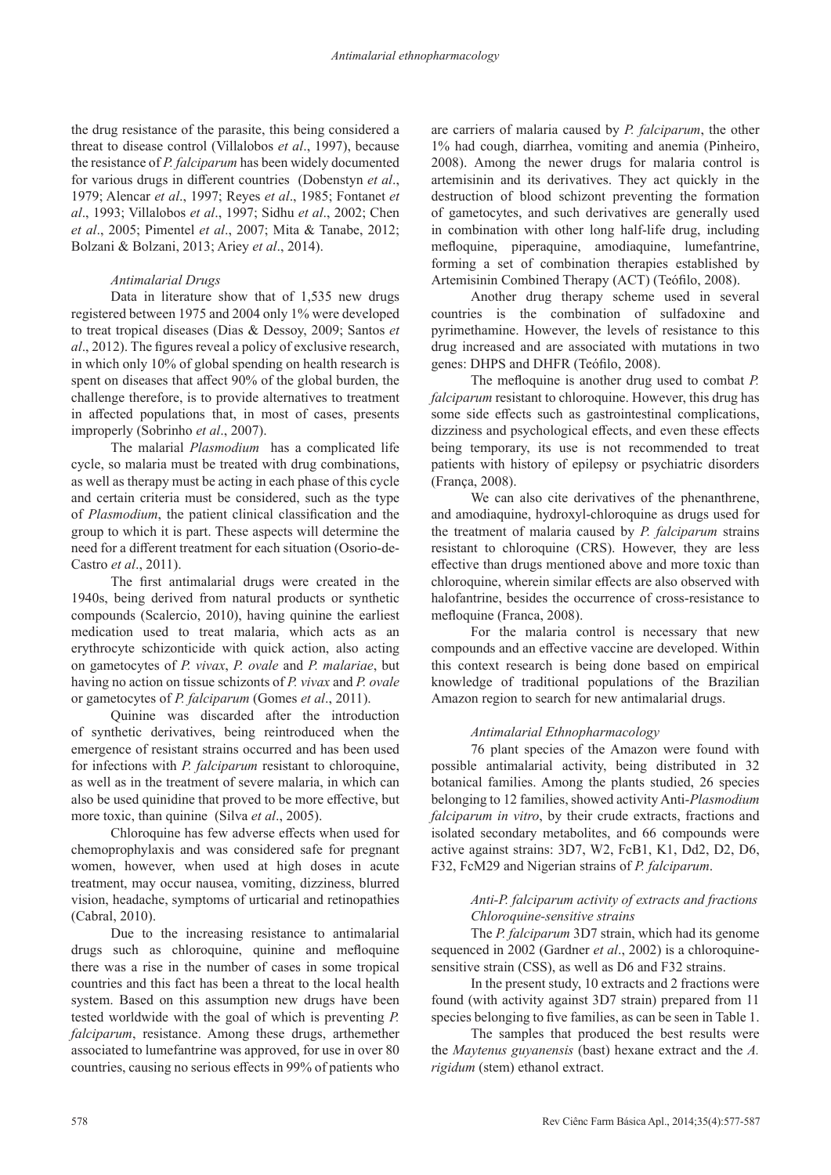the drug resistance of the parasite, this being considered a threat to disease control (Villalobos *et al*., 1997), because the resistance of *P. falciparum* has been widely documented for various drugs in different countries (Dobenstyn *et al*., 1979; Alencar *et al*., 1997; Reyes *et al*., 1985; Fontanet *et al*., 1993; Villalobos *et al*., 1997; Sidhu *et al*., 2002; Chen *et al*., 2005; Pimentel *et al*., 2007; Mita & Tanabe, 2012; Bolzani & Bolzani, 2013; Ariey *et al*., 2014).

## *Antimalarial Drugs*

Data in literature show that of 1,535 new drugs registered between 1975 and 2004 only 1% were developed to treat tropical diseases (Dias & Dessoy, 2009; Santos *et al*., 2012). The figures reveal a policy of exclusive research, in which only 10% of global spending on health research is spent on diseases that affect 90% of the global burden, the challenge therefore, is to provide alternatives to treatment in affected populations that, in most of cases, presents improperly (Sobrinho *et al*., 2007).

The malarial *Plasmodium* has a complicated life cycle, so malaria must be treated with drug combinations, as well as therapy must be acting in each phase of this cycle and certain criteria must be considered, such as the type of *Plasmodium*, the patient clinical classification and the group to which it is part. These aspects will determine the need for a different treatment for each situation (Osorio-de-Castro *et al*., 2011).

The first antimalarial drugs were created in the 1940s, being derived from natural products or synthetic compounds (Scalercio, 2010), having quinine the earliest medication used to treat malaria, which acts as an erythrocyte schizonticide with quick action, also acting on gametocytes of *P. vivax*, *P. ovale* and *P. malariae*, but having no action on tissue schizonts of *P. vivax* and *P. ovale*  or gametocytes of *P. falciparum* (Gomes *et al*., 2011).

Quinine was discarded after the introduction of synthetic derivatives, being reintroduced when the emergence of resistant strains occurred and has been used for infections with *P. falciparum* resistant to chloroquine, as well as in the treatment of severe malaria, in which can also be used quinidine that proved to be more effective, but more toxic, than quinine (Silva *et al*., 2005).

Chloroquine has few adverse effects when used for chemoprophylaxis and was considered safe for pregnant women, however, when used at high doses in acute treatment, may occur nausea, vomiting, dizziness, blurred vision, headache, symptoms of urticarial and retinopathies (Cabral, 2010).

Due to the increasing resistance to antimalarial drugs such as chloroquine, quinine and mefloquine there was a rise in the number of cases in some tropical countries and this fact has been a threat to the local health system. Based on this assumption new drugs have been tested worldwide with the goal of which is preventing *P. falciparum*, resistance. Among these drugs, arthemether associated to lumefantrine was approved, for use in over 80 countries, causing no serious effects in 99% of patients who

are carriers of malaria caused by *P. falciparum*, the other 1% had cough, diarrhea, vomiting and anemia (Pinheiro, 2008). Among the newer drugs for malaria control is artemisinin and its derivatives. They act quickly in the destruction of blood schizont preventing the formation of gametocytes, and such derivatives are generally used in combination with other long half-life drug, including mefloquine, piperaquine, amodiaquine, lumefantrine, forming a set of combination therapies established by Artemisinin Combined Therapy (ACT) (Teófilo, 2008).

Another drug therapy scheme used in several countries is the combination of sulfadoxine and pyrimethamine. However, the levels of resistance to this drug increased and are associated with mutations in two genes: DHPS and DHFR (Teófilo, 2008).

The mefloquine is another drug used to combat *P. falciparum* resistant to chloroquine. However, this drug has some side effects such as gastrointestinal complications, dizziness and psychological effects, and even these effects being temporary, its use is not recommended to treat patients with history of epilepsy or psychiatric disorders (França, 2008).

We can also cite derivatives of the phenanthrene, and amodiaquine, hydroxyl-chloroquine as drugs used for the treatment of malaria caused by *P. falciparum* strains resistant to chloroquine (CRS). However, they are less effective than drugs mentioned above and more toxic than chloroquine, wherein similar effects are also observed with halofantrine, besides the occurrence of cross-resistance to mefloquine (Franca, 2008).

For the malaria control is necessary that new compounds and an effective vaccine are developed. Within this context research is being done based on empirical knowledge of traditional populations of the Brazilian Amazon region to search for new antimalarial drugs.

# *Antimalarial Ethnopharmacology*

76 plant species of the Amazon were found with possible antimalarial activity, being distributed in 32 botanical families. Among the plants studied, 26 species belonging to 12 families, showed activity Anti-*Plasmodium falciparum in vitro*, by their crude extracts, fractions and isolated secondary metabolites, and 66 compounds were active against strains: 3D7, W2, FcB1, K1, Dd2, D2, D6, F32, FcM29 and Nigerian strains of *P. falciparum*.

# *Anti-P. falciparum activity of extracts and fractions Chloroquine-sensitive strains*

The *P. falciparum* 3D7 strain, which had its genome sequenced in 2002 (Gardner *et al*., 2002) is a chloroquinesensitive strain (CSS), as well as D6 and F32 strains.

In the present study, 10 extracts and 2 fractions were found (with activity against 3D7 strain) prepared from 11 species belonging to five families, as can be seen in Table 1.

The samples that produced the best results were the *Maytenus guyanensis* (bast) hexane extract and the *A. rigidum* (stem) ethanol extract.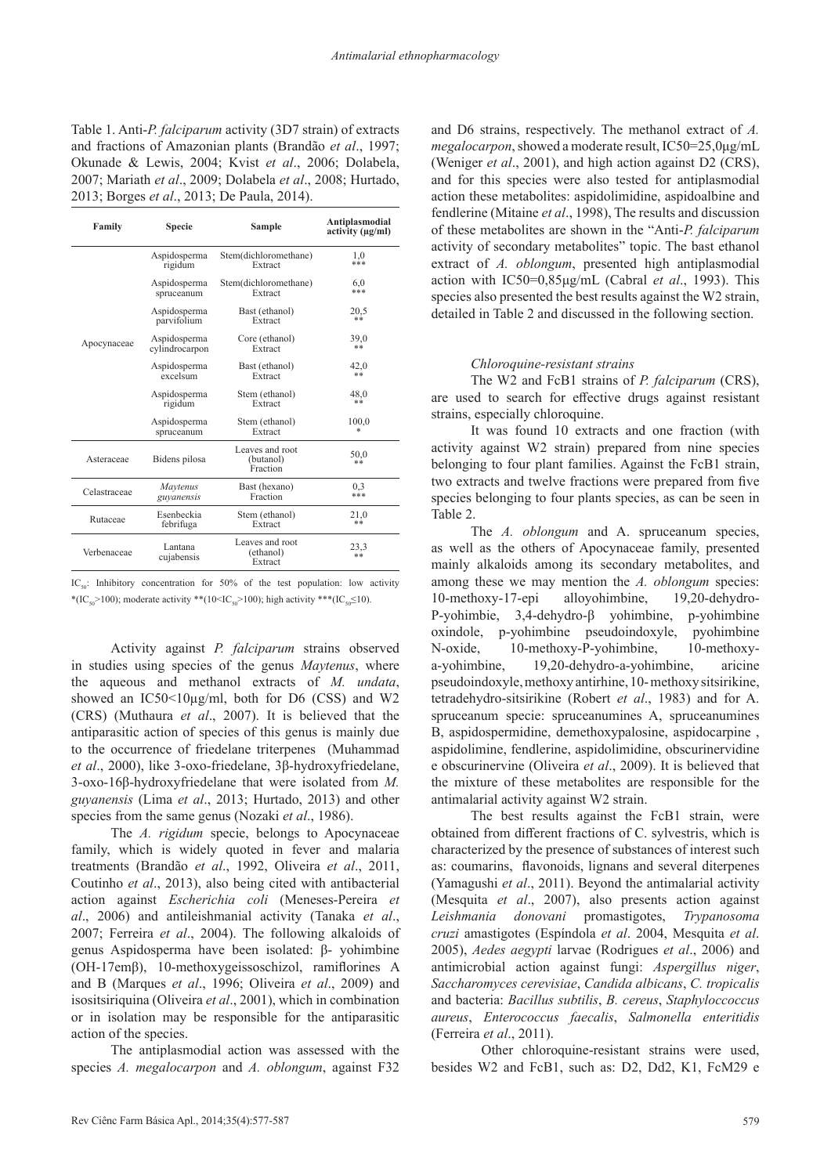Table 1. Anti-*P. falciparum* activity (3D7 strain) of extracts and fractions of Amazonian plants (Brandão *et al*., 1997; Okunade & Lewis, 2004; Kvist *et al*., 2006; Dolabela, 2007; Mariath *et al*., 2009; Dolabela *et al*., 2008; Hurtado, 2013; Borges *et al*., 2013; De Paula, 2014).

| Family       | <b>Specie</b>         | <b>Sample</b>                            | Antiplasmodial<br>activity (ug/ml) |  |
|--------------|-----------------------|------------------------------------------|------------------------------------|--|
|              | Aspidosperma          | Stem(dichloromethane)                    | 1.0                                |  |
|              | rigidum               | Extract                                  | ***                                |  |
|              | Aspidosperma          | Stem(dichloromethane)                    | 6.0                                |  |
|              | spruceanum            | Extract                                  | ***                                |  |
|              | Aspidosperma          | Bast (ethanol)                           | 20,5                               |  |
|              | parvifolium           | Extract                                  | **                                 |  |
| Apocynaceae  | Aspidosperma          | Core (ethanol)                           | 39,0                               |  |
|              | cylindrocarpon        | Extract                                  | **                                 |  |
|              | Aspidosperma          | Bast (ethanol)                           | 42,0                               |  |
|              | excelsum              | Extract                                  | **                                 |  |
|              | Aspidosperma          | Stem (ethanol)                           | 48.0                               |  |
|              | rigidum               | Extract                                  | **                                 |  |
|              | Aspidosperma          | Stem (ethanol)                           | 100.0                              |  |
|              | spruceanum            | Extract                                  | *                                  |  |
| Asteraceae   | Bidens pilosa         | Leaves and root<br>(butanol)<br>Fraction | 50,0<br>**                         |  |
| Celastraceae | Maytenus              | Bast (hexano)                            | 0.3                                |  |
|              | guvanensis            | Fraction                                 | ***                                |  |
| Rutaceae     | Esenbeckia            | Stem (ethanol)                           | 21,0                               |  |
|              | febrifuga             | Extract                                  | **                                 |  |
| Verbenaceae  | Lantana<br>cujabensis | Leaves and root<br>(ethanol)<br>Extract  | 23,3<br>**                         |  |

IC<sub>50</sub>: Inhibitory concentration for 50% of the test population: low activity \*(IC<sub>50</sub>>100); moderate activity \*\*(10<IC<sub>50</sub>>100); high activity \*\*\*(IC<sub>50</sub>≤10).

Activity against *P. falciparum* strains observed in studies using species of the genus *Maytenus*, where the aqueous and methanol extracts of *M. undata*, showed an IC50<10µg/ml, both for D6 (CSS) and W2 (CRS) (Muthaura *et al*., 2007). It is believed that the antiparasitic action of species of this genus is mainly due to the occurrence of friedelane triterpenes (Muhammad *et al*., 2000), like 3-oxo-friedelane, 3β-hydroxyfriedelane, 3-oxo-16β-hydroxyfriedelane that were isolated from *M. guyanensis* (Lima *et al*., 2013; Hurtado, 2013) and other species from the same genus (Nozaki *et al*., 1986).

The *A. rigidum* specie, belongs to Apocynaceae family, which is widely quoted in fever and malaria treatments (Brandão *et al*., 1992, Oliveira *et al*., 2011, Coutinho *et al*., 2013), also being cited with antibacterial action against *Escherichia coli* (Meneses-Pereira *et al*., 2006) and antileishmanial activity (Tanaka *et al*., 2007; Ferreira *et al*., 2004). The following alkaloids of genus Aspidosperma have been isolated: β- yohimbine (OH-17emβ), 10-methoxygeissoschizol, ramiflorines A and B (Marques *et al*., 1996; Oliveira *et al*., 2009) and isositsiriquina (Oliveira *et al*., 2001), which in combination or in isolation may be responsible for the antiparasitic action of the species.

The antiplasmodial action was assessed with the species *A. megalocarpon* and *A. oblongum*, against F32

and D6 strains, respectively. The methanol extract of *A. megalocarpon*, showed a moderate result, IC50=25,0μg/mL (Weniger *et al*., 2001), and high action against D2 (CRS), and for this species were also tested for antiplasmodial action these metabolites: aspidolimidine, aspidoalbine and fendlerine (Mitaine *et al*., 1998), The results and discussion of these metabolites are shown in the "Anti-*P. falciparum* activity of secondary metabolites" topic. The bast ethanol extract of *A. oblongum*, presented high antiplasmodial action with IC50=0,85μg/mL (Cabral *et al*., 1993). This species also presented the best results against the W2 strain, detailed in Table 2 and discussed in the following section.

#### *Chloroquine-resistant strains*

The W2 and FcB1 strains of *P. falciparum* (CRS), are used to search for effective drugs against resistant strains, especially chloroquine.

It was found 10 extracts and one fraction (with activity against W2 strain) prepared from nine species belonging to four plant families. Against the FcB1 strain, two extracts and twelve fractions were prepared from five species belonging to four plants species, as can be seen in Table 2.

The *A. oblongum* and A. spruceanum species, as well as the others of Apocynaceae family, presented mainly alkaloids among its secondary metabolites, and among these we may mention the *A. oblongum* species: 10-methoxy-17-epi alloyohimbine, 19,20-dehydro-P-yohimbie, 3,4-dehydro-β yohimbine, p-yohimbine oxindole, p-yohimbine pseudoindoxyle, pyohimbine N-oxide, 10-methoxy-P-yohimbine, 10-methoxya-yohimbine, 19,20-dehydro-a-yohimbine, aricine pseudoindoxyle, methoxy antirhine, 10- methoxy sitsirikine, tetradehydro-sitsirikine (Robert *et al*., 1983) and for A. spruceanum specie: spruceanumines A, spruceanumines B, aspidospermidine, demethoxypalosine, aspidocarpine , aspidolimine, fendlerine, aspidolimidine, obscurinervidine e obscurinervine (Oliveira *et al*., 2009). It is believed that the mixture of these metabolites are responsible for the antimalarial activity against W2 strain.

The best results against the FcB1 strain, were obtained from different fractions of C. sylvestris, which is characterized by the presence of substances of interest such as: coumarins, flavonoids, lignans and several diterpenes (Yamagushi *et al*., 2011). Beyond the antimalarial activity (Mesquita *et al*., 2007), also presents action against *Leishmania donovani* promastigotes, *Trypanosoma cruzi* amastigotes (Espíndola *et al*. 2004, Mesquita *et al*. 2005), *Aedes aegypti* larvae (Rodrigues *et al*., 2006) and antimicrobial action against fungi: *Aspergillus niger*, *Saccharomyces cerevisiae*, *Candida albicans*, *C. tropicalis* and bacteria: *Bacillus subtilis*, *B. cereus*, *Staphyloccoccus aureus*, *Enterococcus faecalis*, *Salmonella enteritidis* (Ferreira *et al*., 2011).

Other chloroquine-resistant strains were used, besides W2 and FcB1, such as: D2, Dd2, K1, FcM29 e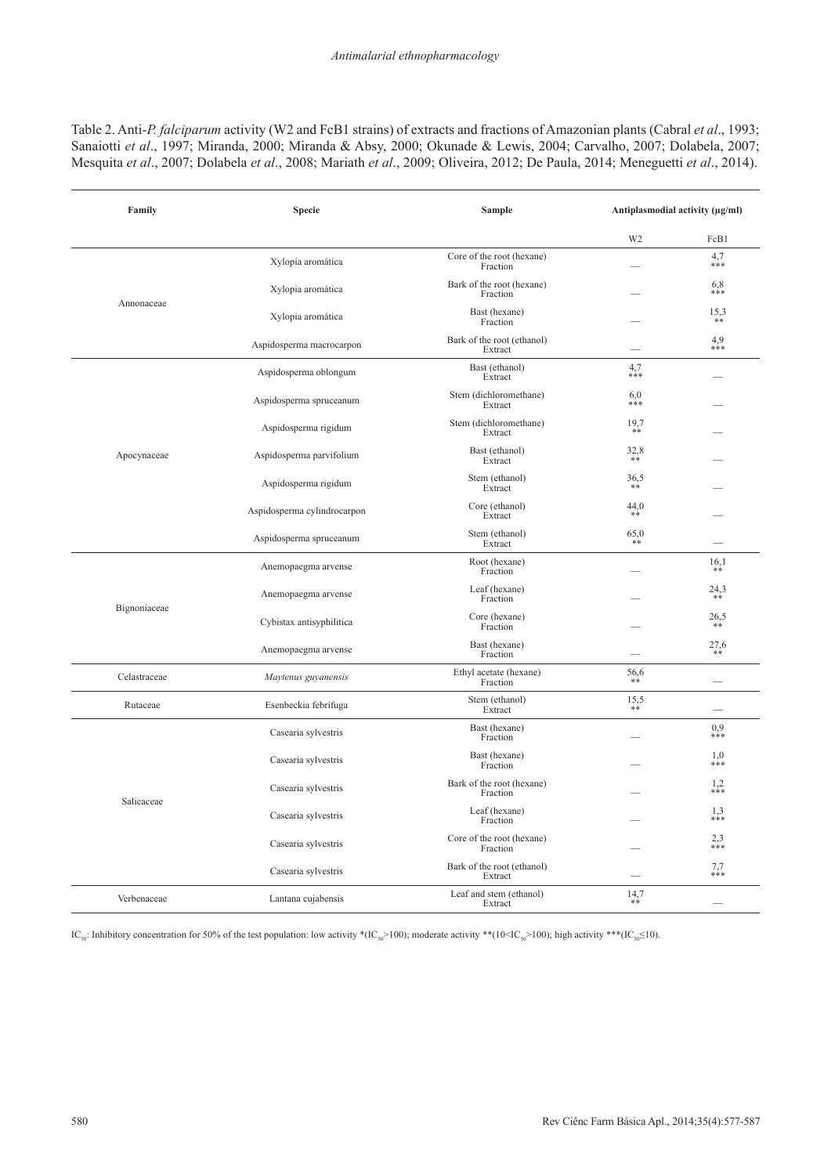Table 2. Anti-*P. falciparum* activity (W2 and FcB1 strains) of extracts and fractions of Amazonian plants (Cabral *et al*., 1993; Sanaiotti *et al*., 1997; Miranda, 2000; Miranda & Absy, 2000; Okunade & Lewis, 2004; Carvalho, 2007; Dolabela, 2007; Mesquita *et al*., 2007; Dolabela *et al*., 2008; Mariath *et al*., 2009; Oliveira, 2012; De Paula, 2014; Meneguetti *et al*., 2014).

| Family       | <b>Specie</b>               | <b>Sample</b>                         |                | Antiplasmodial activity (µg/ml) |
|--------------|-----------------------------|---------------------------------------|----------------|---------------------------------|
|              |                             |                                       | W <sub>2</sub> | FcB1                            |
|              | Xylopia aromática           | Core of the root (hexane)<br>Fraction |                | 4,7<br>***                      |
| Annonaceae   | Xylopia aromática           | Bark of the root (hexane)<br>Fraction |                | 6,8<br>$***$                    |
|              | Xylopia aromática           | Bast (hexane)<br>Fraction             |                | 15,3<br>**                      |
|              | Aspidosperma macrocarpon    | Bark of the root (ethanol)<br>Extract |                | 4,9<br>$***$                    |
|              | Aspidosperma oblongum       | Bast (ethanol)<br>Extract             | 4,7<br>$***$   |                                 |
|              | Aspidosperma spruceanum     | Stem (dichloromethane)<br>Extract     | 6,0<br>***     |                                 |
|              | Aspidosperma rigidum        | Stem (dichloromethane)<br>Extract     | 19,7<br>$**$   |                                 |
| Apocynaceae  | Aspidosperma parvifolium    | Bast (ethanol)<br>Extract             | 32,8<br>$***$  |                                 |
|              | Aspidosperma rigidum        | Stem (ethanol)<br>Extract             | 36,5           |                                 |
|              | Aspidosperma cylindrocarpon | Core (ethanol)<br>Extract             | 44,0<br>**     |                                 |
|              | Aspidosperma spruceanum     | Stem (ethanol)<br>Extract             | 65,0           |                                 |
| Bignoniaceae | Anemopaegma arvense         | Root (hexane)<br>Fraction             |                | 16,1<br>**                      |
|              | Anemopaegma arvense         | Leaf (hexane)<br>Fraction             |                | 24,3                            |
|              | Cybistax antisyphilitica    | Core (hexane)<br>Fraction             |                | 26,5                            |
|              | Anemopaegma arvense         | Bast (hexane)<br>Fraction             |                | $^{27,6}_{**}$                  |
| Celastraceae | Maytenus guyanensis         | Ethyl acetate (hexane)<br>Fraction    | 56,6<br>**     |                                 |
| Rutaceae     | Esenbeckia febrífuga        | Stem (ethanol)<br>Extract             | 15,5<br>**     |                                 |
| Salicaceae   | Casearia sylvestris         | Bast (hexane)<br>Fraction             |                | 0,9<br>***                      |
|              | Casearia sylvestris         | Bast (hexane)<br>Fraction             |                | 1,0<br>***                      |
|              | Casearia sylvestris         | Bark of the root (hexane)<br>Fraction |                | 1,2<br>$***$                    |
|              | Casearia sylvestris         | Leaf (hexane)<br>Fraction             |                | 1,3<br>***                      |
|              | Casearia sylvestris         | Core of the root (hexane)<br>Fraction |                | 2,3<br>***                      |
|              | Casearia sylvestris         | Bark of the root (ethanol)<br>Extract |                | 7,7<br>***                      |
| Verbenaceae  | Lantana cujabensis          | Leaf and stem (ethanol)<br>Extract    | 14,7<br>$***$  |                                 |

IC<sub>50</sub>: Inhibitory concentration for 50% of the test population: low activity \*(IC<sub>50</sub>>100); moderate activity \*\*(10<IC<sub>50</sub>>100); high activity \*\*(IC<sub>50</sub> $\leq$ 10).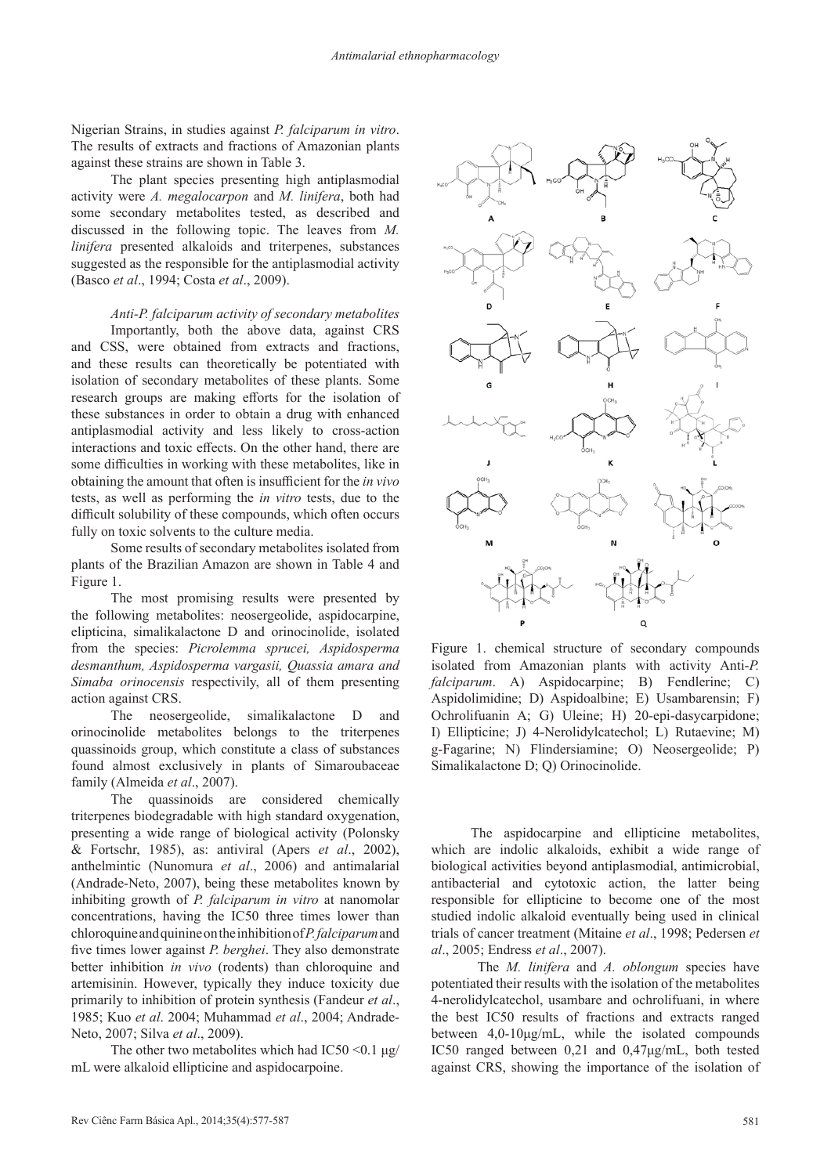Nigerian Strains, in studies against *P. falciparum in vitro*. The results of extracts and fractions of Amazonian plants against these strains are shown in Table 3.

The plant species presenting high antiplasmodial activity were *A. megalocarpon* and *M. linifera*, both had some secondary metabolites tested, as described and discussed in the following topic. The leaves from *M. linifera* presented alkaloids and triterpenes, substances suggested as the responsible for the antiplasmodial activity (Basco *et al*., 1994; Costa *et al*., 2009).

*Anti-P. falciparum activity of secondary metabolites*

Importantly, both the above data, against CRS and CSS, were obtained from extracts and fractions, and these results can theoretically be potentiated with isolation of secondary metabolites of these plants. Some research groups are making efforts for the isolation of these substances in order to obtain a drug with enhanced antiplasmodial activity and less likely to cross-action interactions and toxic effects. On the other hand, there are some difficulties in working with these metabolites, like in obtaining the amount that often is insufficient for the *in vivo* tests, as well as performing the *in vitro* tests, due to the difficult solubility of these compounds, which often occurs fully on toxic solvents to the culture media.

Some results of secondary metabolites isolated from plants of the Brazilian Amazon are shown in Table 4 and Figure 1.

The most promising results were presented by the following metabolites: neosergeolide, aspidocarpine, elipticina, simalikalactone D and orinocinolide, isolated from the species: *Picrolemma sprucei, Aspidosperma desmanthum, Aspidosperma vargasii, Quassia amara and Simaba orinocensis* respectivily, all of them presenting action against CRS.

The neosergeolide, simalikalactone D and orinocinolide metabolites belongs to the triterpenes quassinoids group, which constitute a class of substances found almost exclusively in plants of Simaroubaceae family (Almeida *et al*., 2007).

The quassinoids are considered chemically triterpenes biodegradable with high standard oxygenation, presenting a wide range of biological activity (Polonsky & Fortschr, 1985), as: antiviral (Apers *et al*., 2002), anthelmintic (Nunomura *et al*., 2006) and antimalarial (Andrade-Neto, 2007), being these metabolites known by inhibiting growth of *P. falciparum in vitro* at nanomolar concentrations, having the IC50 three times lower than chloroquine and quinine on the inhibition of *P. falciparum* and five times lower against *P. berghei*. They also demonstrate better inhibition *in vivo* (rodents) than chloroquine and artemisinin. However, typically they induce toxicity due primarily to inhibition of protein synthesis (Fandeur *et al*., 1985; Kuo *et al*. 2004; Muhammad *et al*., 2004; Andrade-Neto, 2007; Silva *et al*., 2009).

The other two metabolites which had  $IC50 \le 0.1 \text{ µg}$ mL were alkaloid ellipticine and aspidocarpoine.



Figure 1. chemical structure of secondary compounds isolated from Amazonian plants with activity Anti-*P. falciparum*. A) Aspidocarpine; B) Fendlerine; C) Aspidolimidine; D) Aspidoalbine; E) Usambarensin; F) Ochrolifuanin A; G) Uleine; H) 20-epi-dasycarpidone; I) Ellipticine; J) 4-Nerolidylcatechol; L) Rutaevine; M) g-Fagarine; N) Flindersiamine; O) Neosergeolide; P) Simalikalactone D; Q) Orinocinolide.

The aspidocarpine and ellipticine metabolites, which are indolic alkaloids, exhibit a wide range of biological activities beyond antiplasmodial, antimicrobial, antibacterial and cytotoxic action, the latter being responsible for ellipticine to become one of the most studied indolic alkaloid eventually being used in clinical trials of cancer treatment (Mitaine *et al*., 1998; Pedersen *et al*., 2005; Endress *et al*., 2007).

 The *M. linifera* and *A. oblongum* species have potentiated their results with the isolation of the metabolites 4-nerolidylcatechol, usambare and ochrolifuani, in where the best IC50 results of fractions and extracts ranged between 4,0-10μg/mL, while the isolated compounds IC50 ranged between 0,21 and 0,47μg/mL, both tested against CRS, showing the importance of the isolation of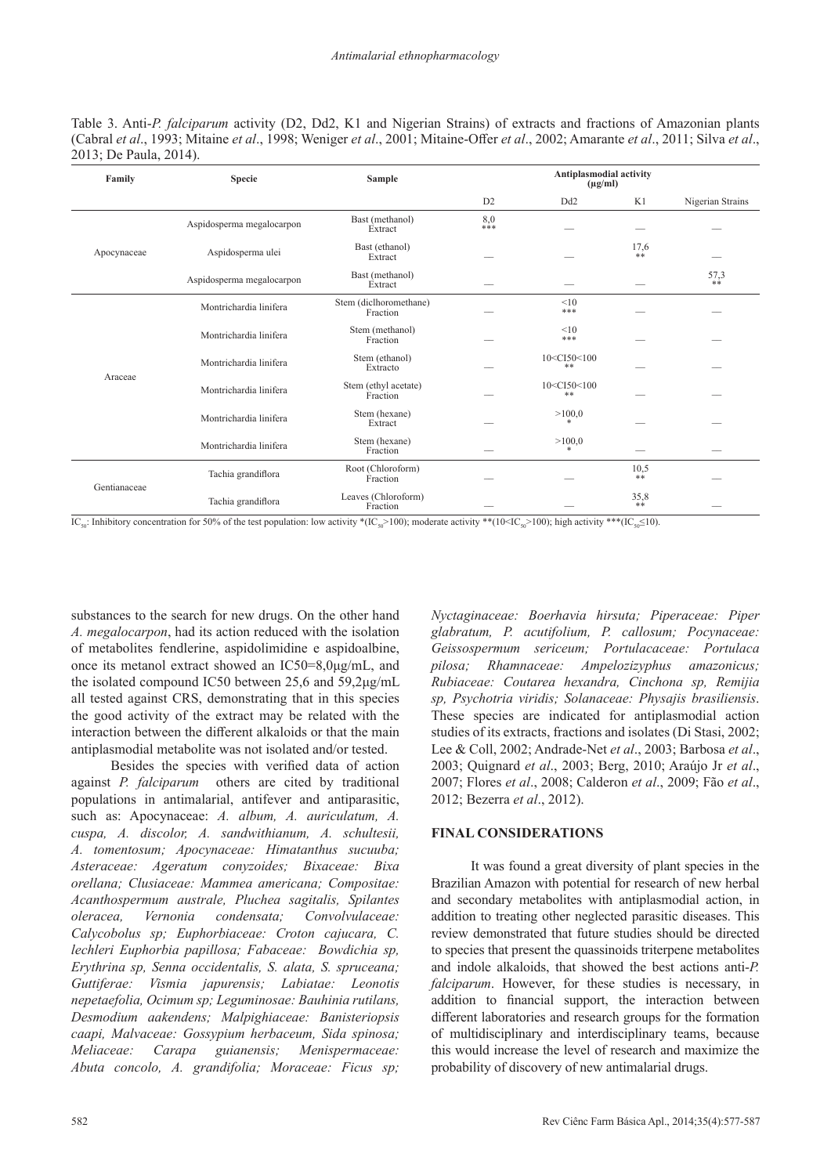Table 3. Anti-*P. falciparum* activity (D2, Dd2, K1 and Nigerian Strains) of extracts and fractions of Amazonian plants (Cabral *et al*., 1993; Mitaine *et al*., 1998; Weniger *et al*., 2001; Mitaine-Offer *et al*., 2002; Amarante *et al*., 2011; Silva *et al*., 2013; De Paula, 2014).

| Family       | <b>Specie</b>             | Sample                             | Antiplasmodial activity<br>$(\mu g/ml)$ |                                  |            |                  |
|--------------|---------------------------|------------------------------------|-----------------------------------------|----------------------------------|------------|------------------|
|              |                           |                                    | D2                                      | D <sub>d</sub> 2                 | K1         | Nigerian Strains |
| Apocynaceae  | Aspidosperma megalocarpon | Bast (methanol)<br>Extract         | 8,0<br>***                              |                                  |            |                  |
|              | Aspidosperma ulei         | Bast (ethanol)<br>Extract          |                                         |                                  | 17,6<br>** |                  |
|              | Aspidosperma megalocarpon | Bast (methanol)<br>Extract         |                                         |                                  |            | 57,3<br>$***$    |
| Araceae      | Montrichardia linifera    | Stem (diclhoromethane)<br>Fraction |                                         | <10<br>***                       |            |                  |
|              | Montrichardia linifera    | Stem (methanol)<br>Fraction        |                                         | <10<br>***                       |            |                  |
|              | Montrichardia linifera    | Stem (ethanol)<br>Extracto         |                                         | 10 <ci50<100<br>**</ci50<100<br> |            |                  |
|              | Montrichardia linifera    | Stem (ethyl acetate)<br>Fraction   |                                         | 10 <ci50<100<br>**</ci50<100<br> |            |                  |
|              | Montrichardia linifera    | Stem (hexane)<br>Extract           |                                         | >100,0                           |            |                  |
|              | Montrichardia linifera    | Stem (hexane)<br>Fraction          |                                         | >100,0                           |            |                  |
| Gentianaceae | Tachia grandiflora        | Root (Chloroform)<br>Fraction      |                                         |                                  | 10,5<br>** |                  |
|              | Tachia grandiflora        | Leaves (Chloroform)<br>Fraction    |                                         |                                  | 35,8<br>** |                  |

 $IC_{\infty}$ : Inhibitory concentration for 50% of the test population: low activity \*(IC<sub>60</sub>>100); moderate activity \*\*(10<IC<sub>60</sub>>100); high activity \*\*\*(IC<sub>60</sub>≤10).

substances to the search for new drugs. On the other hand *A. megalocarpon*, had its action reduced with the isolation of metabolites fendlerine, aspidolimidine e aspidoalbine, once its metanol extract showed an IC50=8,0μg/mL, and the isolated compound IC50 between 25,6 and 59,2μg/mL all tested against CRS, demonstrating that in this species the good activity of the extract may be related with the interaction between the different alkaloids or that the main antiplasmodial metabolite was not isolated and/or tested.

Besides the species with verified data of action against *P. falciparum* others are cited by traditional populations in antimalarial, antifever and antiparasitic, such as: Apocynaceae: *A. album, A. auriculatum, A. cuspa, A. discolor, A. sandwithianum, A. schultesii, A. tomentosum; Apocynaceae: Himatanthus sucuuba; Asteraceae: Ageratum conyzoides; Bixaceae: Bixa orellana; Clusiaceae: Mammea americana; Compositae: Acanthospermum australe, Pluchea sagitalis, Spilantes oleracea, Vernonia condensata; Convolvulaceae: Calycobolus sp; Euphorbiaceae: Croton cajucara, C. lechleri Euphorbia papillosa; Fabaceae: Bowdichia sp, Erythrina sp, Senna occidentalis, S. alata, S. spruceana; Guttiferae: Vismia japurensis; Labiatae: Leonotis nepetaefolia, Ocimum sp; Leguminosae: Bauhinia rutilans, Desmodium aakendens; Malpighiaceae: Banisteriopsis caapi, Malvaceae: Gossypium herbaceum, Sida spinosa; Meliaceae: Carapa guianensis; Menispermaceae: Abuta concolo, A. grandifolia; Moraceae: Ficus sp;* 

*Nyctaginaceae: Boerhavia hirsuta; Piperaceae: Piper glabratum, P. acutifolium, P. callosum; Pocynaceae: Geissospermum sericeum; Portulacaceae: Portulaca pilosa; Rhamnaceae: Ampelozizyphus amazonicus; Rubiaceae: Coutarea hexandra, Cinchona sp, Remijia sp, Psychotria viridis; Solanaceae: Physajis brasiliensis*. These species are indicated for antiplasmodial action studies of its extracts, fractions and isolates (Di Stasi, 2002; Lee & Coll, 2002; Andrade-Net *et al*., 2003; Barbosa *et al*., 2003; Quignard *et al*., 2003; Berg, 2010; Araújo Jr *et al*., 2007; Flores *et al*., 2008; Calderon *et al*., 2009; Fão *et al*., 2012; Bezerra *et al*., 2012).

## **FINAL CONSIDERATIONS**

It was found a great diversity of plant species in the Brazilian Amazon with potential for research of new herbal and secondary metabolites with antiplasmodial action, in addition to treating other neglected parasitic diseases. This review demonstrated that future studies should be directed to species that present the quassinoids triterpene metabolites and indole alkaloids, that showed the best actions anti-*P. falciparum*. However, for these studies is necessary, in addition to financial support, the interaction between different laboratories and research groups for the formation of multidisciplinary and interdisciplinary teams, because this would increase the level of research and maximize the probability of discovery of new antimalarial drugs.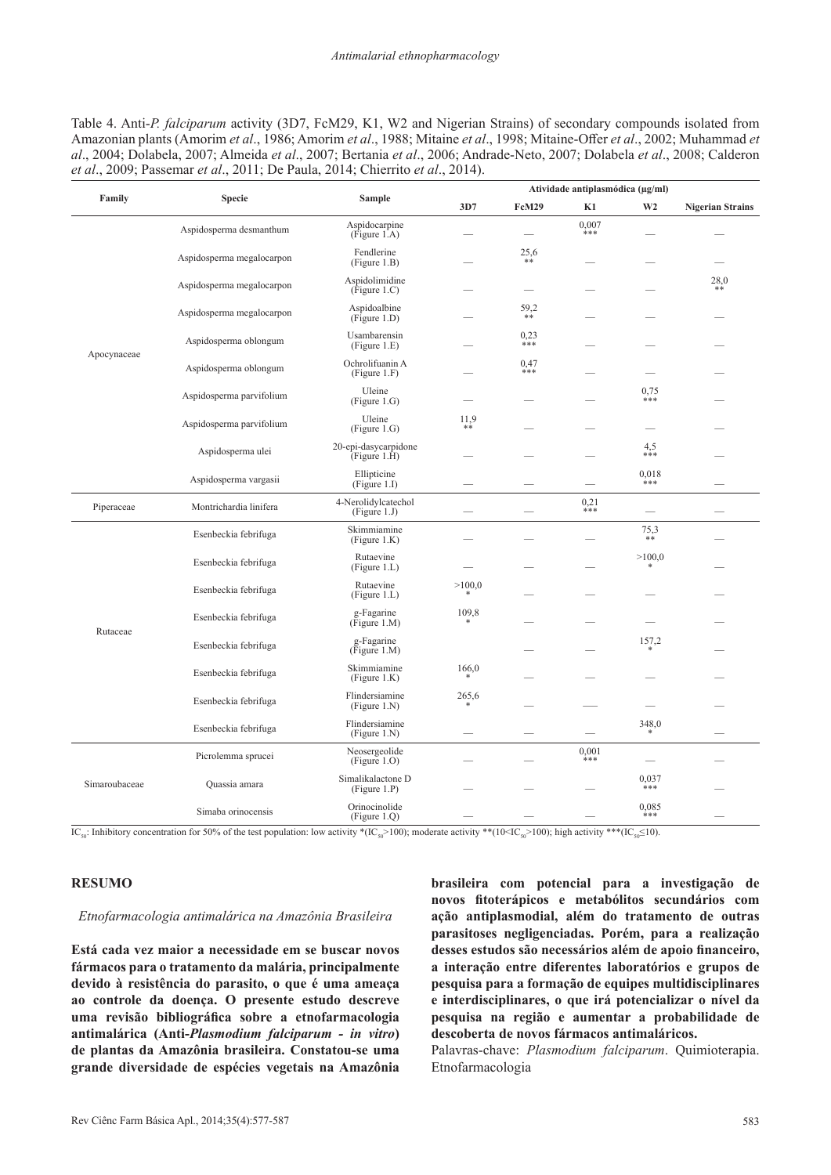Table 4. Anti-*P. falciparum* activity (3D7, FcM29, K1, W2 and Nigerian Strains) of secondary compounds isolated from Amazonian plants (Amorim *et al*., 1986; Amorim *et al*., 1988; Mitaine *et al*., 1998; Mitaine-Offer *et al*., 2002; Muhammad *et al*., 2004; Dolabela, 2007; Almeida *et al*., 2007; Bertania *et al*., 2006; Andrade-Neto, 2007; Dolabela *et al*., 2008; Calderon *et al*., 2009; Passemar *et al*., 2011; De Paula, 2014; Chierrito *et al*., 2014).

| Family        | <b>Specie</b>             | <b>Sample</b>                        | Atividade antiplasmódica (µg/ml) |                          |              |                |                         |
|---------------|---------------------------|--------------------------------------|----------------------------------|--------------------------|--------------|----------------|-------------------------|
|               |                           |                                      | 3D7                              | <b>FcM29</b>             | K1           | W <sub>2</sub> | <b>Nigerian Strains</b> |
|               | Aspidosperma desmanthum   | Aspidocarpine<br>(Figure 1.A)        |                                  |                          | 0,007<br>*** |                |                         |
|               | Aspidosperma megalocarpon | Fendlerine<br>(Figure 1.B)           |                                  | 25,6<br>$**$             |              |                |                         |
|               | Aspidosperma megalocarpon | Aspidolimidine<br>(Figure 1.C)       |                                  | $\overline{\phantom{m}}$ |              |                | 28,0<br>**              |
|               | Aspidosperma megalocarpon | Aspidoalbine<br>(Figure 1.D)         |                                  | 59,2<br>$* *$            |              |                |                         |
|               | Aspidosperma oblongum     | Usambarensin<br>(Figure 1.E)         |                                  | 0,23<br>***              |              |                |                         |
| Apocynaceae   | Aspidosperma oblongum     | Ochrolifuanin A<br>(Figure 1.F)      |                                  | 0.47<br>***              |              |                |                         |
|               | Aspidosperma parvifolium  | Uleine<br>(Figure 1.G)               |                                  |                          |              | 0,75<br>***    |                         |
|               | Aspidosperma parvifolium  | Uleine<br>(Figure 1.G)               | 11,9<br>**                       |                          |              |                |                         |
|               | Aspidosperma ulei         | 20-epi-dasycarpidone<br>(Figure 1.H) |                                  |                          |              | 4,5<br>$***$   |                         |
|               | Aspidosperma vargasii     | Ellipticine<br>(Figure 1.I)          |                                  |                          |              | 0,018<br>$***$ |                         |
| Piperaceae    | Montrichardia linifera    | 4-Nerolidylcatechol<br>(Figure 1.J)  |                                  |                          | 0,21<br>***  |                |                         |
|               | Esenbeckia febrifuga      | Skimmiamine<br>(Figure 1.K)          |                                  |                          |              | 75,3<br>**     |                         |
|               | Esenbeckia febrifuga      | Rutaevine<br>(Figure 1.L)            |                                  |                          |              | >100,0         |                         |
|               | Esenbeckia febrifuga      | Rutaevine<br>(Figure 1.L)            | >100,0<br>*                      |                          |              |                |                         |
| Rutaceae      | Esenbeckia febrifuga      | g-Fagarine<br>(Figure 1.M)           | 109,8                            |                          |              |                |                         |
|               | Esenbeckia febrifuga      | g-Fagarine<br>(Figure 1.M)           |                                  |                          |              | 157,2          |                         |
|               | Esenbeckia febrifuga      | Skimmiamine<br>(Figure 1.K)          | 166,0                            |                          |              |                |                         |
|               | Esenbeckia febrifuga      | Flindersiamine<br>(Figure 1.N)       | 265,6                            |                          |              |                |                         |
|               | Esenbeckia febrifuga      | Flindersiamine<br>(Figure 1.N)       |                                  |                          |              | 348,0          |                         |
| Simaroubaceae | Picrolemma sprucei        | Neosergeolide<br>(Figure 1.O)        |                                  |                          | 0,001<br>*** |                |                         |
|               | Quassia amara             | Simalikalactone D<br>(Figure 1.P)    |                                  |                          |              | 0,037<br>***   |                         |
|               | Simaba orinocensis        | Orinocinolide<br>(Figure 1.Q)        |                                  |                          |              | 0,085<br>***   |                         |

 $IC_{sg}$ : Inhibitory concentration for 50% of the test population: low activity \*(IC<sub>50</sub>>100); moderate activity \*\*(10<IC<sub>50</sub>>100); high activity \*\*(IC<sub>50</sub><10).

## **RESUMO**

#### *Etnofarmacologia antimalárica na Amazônia Brasileira*

**Está cada vez maior a necessidade em se buscar novos fármacos para o tratamento da malária, principalmente devido à resistência do parasito, o que é uma ameaça ao controle da doença. O presente estudo descreve uma revisão bibliográfica sobre a etnofarmacologia antimalárica (Anti-***Plasmodium falciparum - in vitro***) de plantas da Amazônia brasileira. Constatou-se uma grande diversidade de espécies vegetais na Amazônia**  **brasileira com potencial para a investigação de novos fitoterápicos e metabólitos secundários com ação antiplasmodial, além do tratamento de outras parasitoses negligenciadas. Porém, para a realização desses estudos são necessários além de apoio financeiro, a interação entre diferentes laboratórios e grupos de pesquisa para a formação de equipes multidisciplinares e interdisciplinares, o que irá potencializar o nível da pesquisa na região e aumentar a probabilidade de descoberta de novos fármacos antimaláricos.**

Palavras-chave: *Plasmodium falciparum*. Quimioterapia. Etnofarmacologia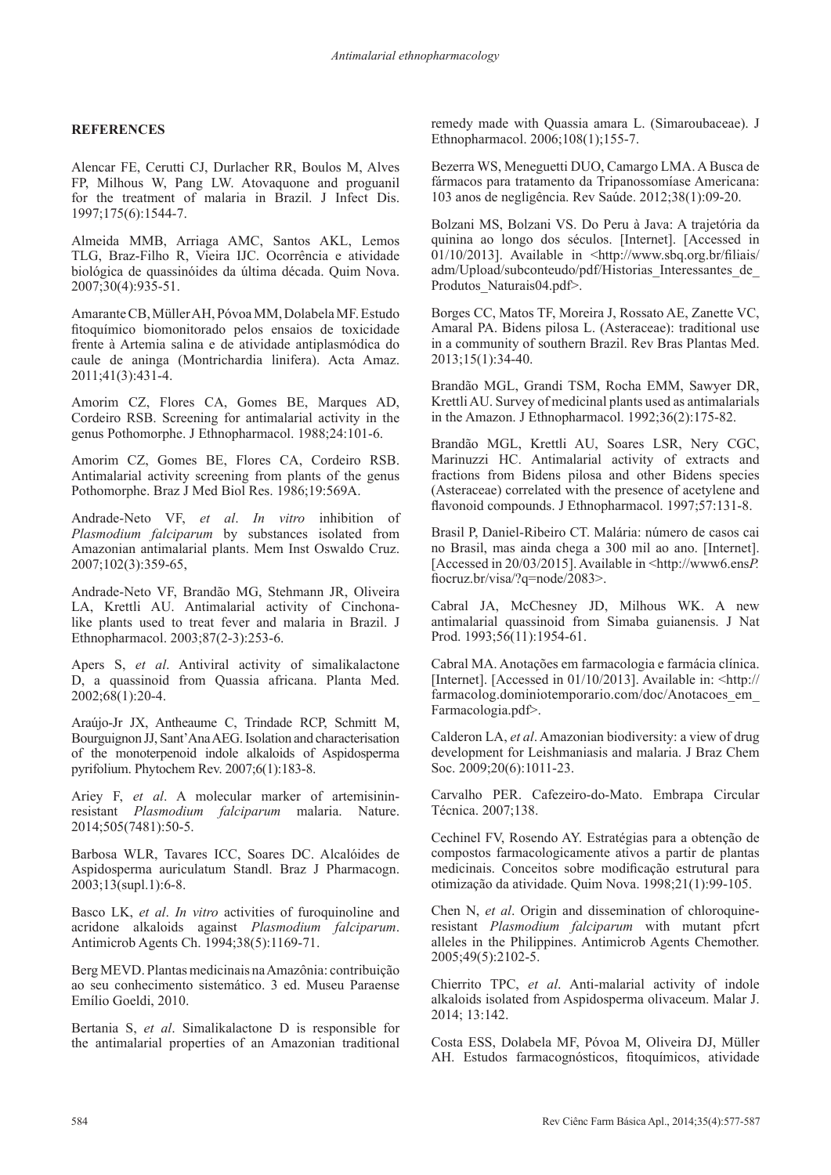## **REFERENCES**

Alencar FE, Cerutti CJ, Durlacher RR, Boulos M, Alves FP, Milhous W, Pang LW. Atovaquone and proguanil for the treatment of malaria in Brazil. J Infect Dis. 1997;175(6):1544-7.

Almeida MMB, Arriaga AMC, Santos AKL, Lemos TLG, Braz-Filho R, Vieira IJC. Ocorrência e atividade biológica de quassinóides da última década. Quim Nova. 2007;30(4):935-51.

Amarante CB, Müller AH, Póvoa MM, Dolabela MF. Estudo fitoquímico biomonitorado pelos ensaios de toxicidade frente à Artemia salina e de atividade antiplasmódica do caule de aninga (Montrichardia linifera). Acta Amaz. 2011;41(3):431-4.

Amorim CZ, Flores CA, Gomes BE, Marques AD, Cordeiro RSB. Screening for antimalarial activity in the genus Pothomorphe. J Ethnopharmacol. 1988;24:101-6.

Amorim CZ, Gomes BE, Flores CA, Cordeiro RSB. Antimalarial activity screening from plants of the genus Pothomorphe. Braz J Med Biol Res. 1986;19:569A.

Andrade-Neto VF, *et al*. *In vitro* inhibition of *Plasmodium falciparum* by substances isolated from Amazonian antimalarial plants. Mem Inst Oswaldo Cruz. 2007;102(3):359-65,

Andrade-Neto VF, Brandão MG, Stehmann JR, Oliveira LA, Krettli AU. Antimalarial activity of Cinchonalike plants used to treat fever and malaria in Brazil. J Ethnopharmacol. 2003;87(2-3):253-6.

Apers S, *et al*. Antiviral activity of simalikalactone D, a quassinoid from Quassia africana. Planta Med. 2002;68(1):20-4.

Araújo-Jr JX, Antheaume C, Trindade RCP, Schmitt M, Bourguignon JJ, Sant'Ana AEG. Isolation and characterisation of the monoterpenoid indole alkaloids of Aspidosperma pyrifolium. Phytochem Rev. 2007;6(1):183-8.

Ariey F, *et al*. A molecular marker of artemisininresistant *Plasmodium falciparum* malaria. Nature. 2014;505(7481):50-5.

Barbosa WLR, Tavares ICC, Soares DC. Alcalóides de Aspidosperma auriculatum Standl. Braz J Pharmacogn. 2003;13(supl.1):6-8.

Basco LK, *et al*. *In vitro* activities of furoquinoline and acridone alkaloids against *Plasmodium falciparum*. Antimicrob Agents Ch. 1994;38(5):1169-71.

Berg MEVD. Plantas medicinais na Amazônia: contribuição ao seu conhecimento sistemático. 3 ed. Museu Paraense Emílio Goeldi, 2010.

Bertania S, *et al*. Simalikalactone D is responsible for the antimalarial properties of an Amazonian traditional

remedy made with Quassia amara L. (Simaroubaceae). J Ethnopharmacol. 2006;108(1);155-7.

Bezerra WS, Meneguetti DUO, Camargo LMA. A Busca de fármacos para tratamento da Tripanossomíase Americana: 103 anos de negligência. Rev Saúde. 2012;38(1):09-20.

Bolzani MS, Bolzani VS. Do Peru à Java: A trajetória da quinina ao longo dos séculos. [Internet]. [Accessed in  $01/10/2013$ ]. Available in  $\frac{\text{th}}{\text{th}}$  /www.sbq.org.br/filiais/ adm/Upload/subconteudo/pdf/Historias\_Interessantes\_de\_ Produtos\_Naturais04.pdf>.

Borges CC, Matos TF, Moreira J, Rossato AE, Zanette VC, Amaral PA. Bidens pilosa L. (Asteraceae): traditional use in a community of southern Brazil. Rev Bras Plantas Med. 2013;15(1):34-40.

Brandão MGL, Grandi TSM, Rocha EMM, Sawyer DR, Krettli AU. Survey of medicinal plants used as antimalarials in the Amazon. J Ethnopharmacol. 1992;36(2):175-82.

Brandão MGL, Krettli AU, Soares LSR, Nery CGC, Marinuzzi HC. Antimalarial activity of extracts and fractions from Bidens pilosa and other Bidens species (Asteraceae) correlated with the presence of acetylene and flavonoid compounds. J Ethnopharmacol. 1997;57:131-8.

Brasil P, Daniel-Ribeiro CT. Malária: número de casos cai no Brasil, mas ainda chega a 300 mil ao ano. [Internet]. [Accessed in 20/03/2015]. Available in <http://www6.ens*P.* fiocruz.br/visa/?q=node/2083>.

Cabral JA, McChesney JD, Milhous WK. A new antimalarial quassinoid from Simaba guianensis. J Nat Prod. 1993;56(11):1954-61.

Cabral MA. Anotações em farmacologia e farmácia clínica. [Internet]. [Accessed in 01/10/2013]. Available in: <http:// farmacolog.dominiotemporario.com/doc/Anotacoes\_em\_ Farmacologia.pdf>.

Calderon LA, *et al*. Amazonian biodiversity: a view of drug development for Leishmaniasis and malaria. J Braz Chem Soc. 2009;20(6):1011-23.

Carvalho PER. Cafezeiro-do-Mato. Embrapa Circular Técnica. 2007;138.

Cechinel FV, Rosendo AY. Estratégias para a obtenção de compostos farmacologicamente ativos a partir de plantas medicinais. Conceitos sobre modificação estrutural para otimização da atividade. Quim Nova. 1998;21(1):99-105.

Chen N, *et al*. Origin and dissemination of chloroquineresistant *Plasmodium falciparum* with mutant pfcrt alleles in the Philippines. Antimicrob Agents Chemother. 2005;49(5):2102-5.

Chierrito TPC, *et al*. Anti-malarial activity of indole alkaloids isolated from Aspidosperma olivaceum. Malar J. 2014; 13:142.

Costa ESS, Dolabela MF, Póvoa M, Oliveira DJ, Müller AH. Estudos farmacognósticos, fitoquímicos, atividade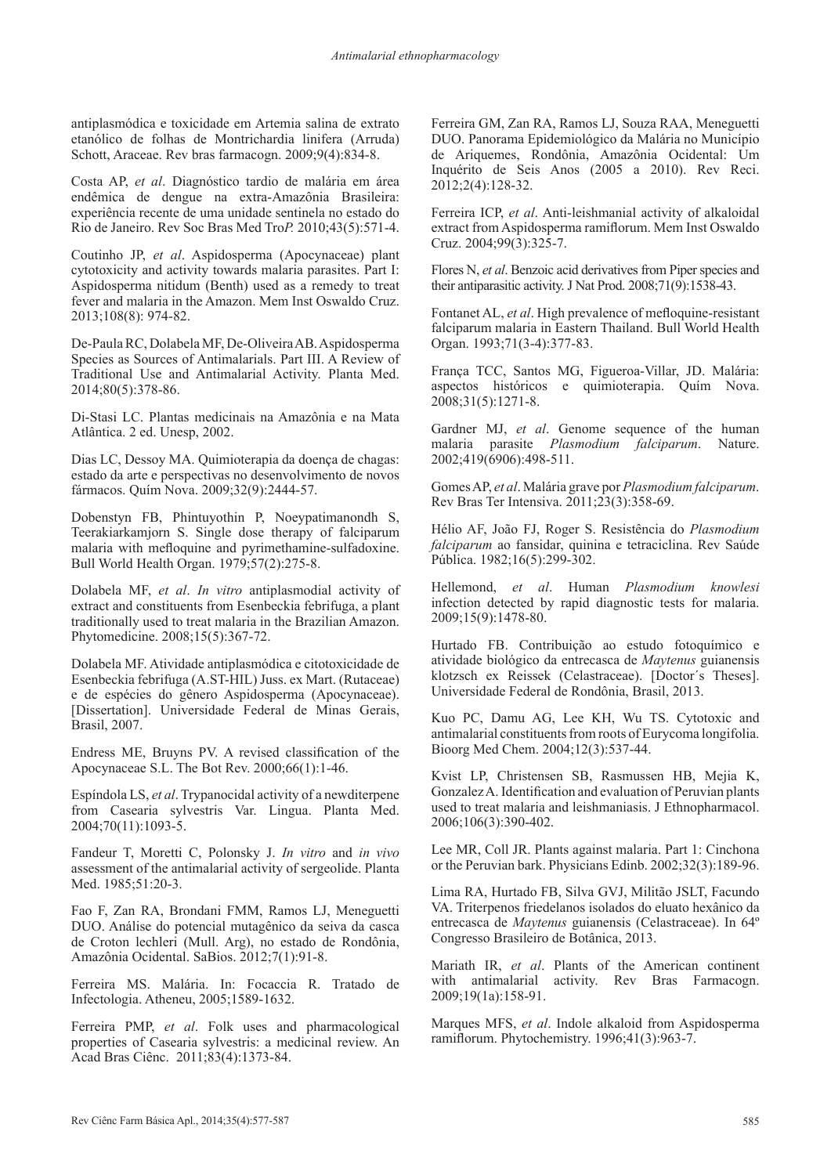antiplasmódica e toxicidade em Artemia salina de extrato etanólico de folhas de Montrichardia linifera (Arruda) Schott, Araceae. Rev bras farmacogn. 2009;9(4):834-8.

Costa AP, *et al*. Diagnóstico tardio de malária em área endêmica de dengue na extra-Amazônia Brasileira: experiência recente de uma unidade sentinela no estado do Rio de Janeiro. Rev Soc Bras Med Tro*P.* 2010;43(5):571-4.

Coutinho JP, *et al*. Aspidosperma (Apocynaceae) plant cytotoxicity and activity towards malaria parasites. Part I: Aspidosperma nitidum (Benth) used as a remedy to treat fever and malaria in the Amazon. Mem Inst Oswaldo Cruz. 2013;108(8): 974-82.

De-Paula RC, Dolabela MF, De-Oliveira AB. Aspidosperma Species as Sources of Antimalarials. Part III. A Review of Traditional Use and Antimalarial Activity. Planta Med. 2014;80(5):378-86.

Di-Stasi LC. Plantas medicinais na Amazônia e na Mata Atlântica. 2 ed. Unesp, 2002.

Dias LC, Dessoy MA. Quimioterapia da doença de chagas: estado da arte e perspectivas no desenvolvimento de novos fármacos. Quím Nova. 2009;32(9):2444-57.

Dobenstyn FB, Phintuyothin P, Noeypatimanondh S, Teerakiarkamjorn S. Single dose therapy of falciparum malaria with mefloquine and pyrimethamine-sulfadoxine. Bull World Health Organ. 1979;57(2):275-8.

Dolabela MF, *et al*. *In vitro* antiplasmodial activity of extract and constituents from Esenbeckia febrifuga, a plant traditionally used to treat malaria in the Brazilian Amazon. Phytomedicine. 2008;15(5):367-72.

Dolabela MF. Atividade antiplasmódica e citotoxicidade de Esenbeckia febrifuga (A.ST-HIL) Juss. ex Mart. (Rutaceae) e de espécies do gênero Aspidosperma (Apocynaceae). [Dissertation]. Universidade Federal de Minas Gerais, Brasil, 2007.

Endress ME, Bruyns PV. A revised classification of the Apocynaceae S.L. The Bot Rev. 2000;66(1):1-46.

Espíndola LS, *et al*. Trypanocidal activity of a newditerpene from Casearia sylvestris Var. Lingua. Planta Med. 2004;70(11):1093-5.

Fandeur T, Moretti C, Polonsky J. *In vitro* and *in vivo* assessment of the antimalarial activity of sergeolide. Planta Med. 1985;51:20-3.

Fao F, Zan RA, Brondani FMM, Ramos LJ, Meneguetti DUO. Análise do potencial mutagênico da seiva da casca de Croton lechleri (Mull. Arg), no estado de Rondônia, Amazônia Ocidental. SaBios. 2012;7(1):91-8.

Ferreira MS. Malária. In: Focaccia R. Tratado de Infectologia. Atheneu, 2005;1589-1632.

Ferreira PMP, *et al*. Folk uses and pharmacological properties of Casearia sylvestris: a medicinal review. An Acad Bras Ciênc. 2011;83(4):1373-84.

Ferreira GM, Zan RA, Ramos LJ, Souza RAA, Meneguetti DUO. Panorama Epidemiológico da Malária no Município de Ariquemes, Rondônia, Amazônia Ocidental: Um Inquérito de Seis Anos (2005 a 2010). Rev Reci. 2012;2(4):128-32.

Ferreira ICP, *et al*. Anti-leishmanial activity of alkaloidal extract from Aspidosperma ramiflorum. Mem Inst Oswaldo Cruz. 2004;99(3):325-7.

Flores N, *et al*. Benzoic acid derivatives from Piper species and their antiparasitic activity. J Nat Prod. 2008;71(9):1538-43.

Fontanet AL, *et al*. High prevalence of mefloquine-resistant falciparum malaria in Eastern Thailand. Bull World Health Organ. 1993;71(3-4):377-83.

França TCC, Santos MG, Figueroa-Villar, JD. Malária: aspectos históricos e quimioterapia. Quím Nova. 2008;31(5):1271-8.

Gardner MJ, *et al*. Genome sequence of the human malaria parasite *Plasmodium falciparum*. Nature. 2002;419(6906):498-511.

Gomes AP, *et al*. Malária grave por *Plasmodium falciparum*. Rev Bras Ter Intensiva. 2011;23(3):358-69.

Hélio AF, João FJ, Roger S. Resistência do *Plasmodium falciparum* ao fansidar, quinina e tetraciclina. Rev Saúde Pública. 1982;16(5):299-302.

Hellemond, *et al*. Human *Plasmodium knowlesi* infection detected by rapid diagnostic tests for malaria. 2009;15(9):1478-80.

Hurtado FB. Contribuição ao estudo fotoquímico e atividade biológico da entrecasca de *Maytenus* guianensis klotzsch ex Reissek (Celastraceae). [Doctor´s Theses]. Universidade Federal de Rondônia, Brasil, 2013.

Kuo PC, Damu AG, Lee KH, Wu TS. Cytotoxic and antimalarial constituents from roots of Eurycoma longifolia. Bioorg Med Chem. 2004;12(3):537-44.

Kvist LP, Christensen SB, Rasmussen HB, Mejia K, Gonzalez A. Identification and evaluation of Peruvian plants used to treat malaria and leishmaniasis. J Ethnopharmacol. 2006;106(3):390-402.

Lee MR, Coll JR. Plants against malaria. Part 1: Cinchona or the Peruvian bark. Physicians Edinb. 2002;32(3):189-96.

Lima RA, Hurtado FB, Silva GVJ, Militão JSLT, Facundo VA. Triterpenos friedelanos isolados do eluato hexânico da entrecasca de *Maytenus* guianensis (Celastraceae). In 64º Congresso Brasileiro de Botânica, 2013.

Mariath IR, *et al*. Plants of the American continent with antimalarial activity. Rev Bras Farmacogn. 2009;19(1a):158-91.

Marques MFS, *et al*. Indole alkaloid from Aspidosperma ramiflorum. Phytochemistry. 1996;41(3):963-7.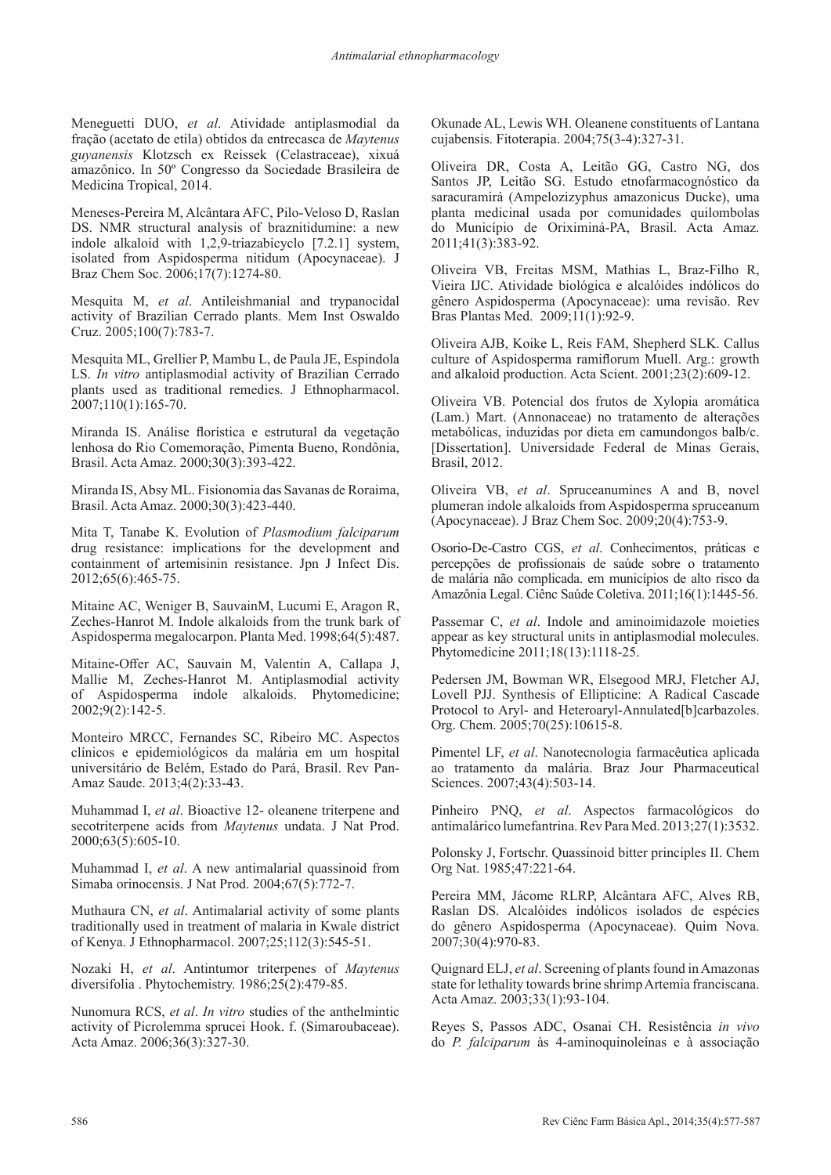Meneguetti DUO, *et al*. Atividade antiplasmodial da fração (acetato de etila) obtidos da entrecasca de *Maytenus guyanensis* Klotzsch ex Reissek (Celastraceae), xixuá amazônico. In 50º Congresso da Sociedade Brasileira de Medicina Tropical, 2014.

Meneses-Pereira M, Alcântara AFC, Pilo-Veloso D, Raslan DS. NMR structural analysis of braznitidumine: a new indole alkaloid with 1,2,9-triazabicyclo [7.2.1] system, isolated from Aspidosperma nitidum (Apocynaceae). J Braz Chem Soc. 2006;17(7):1274-80.

Mesquita M, *et al*. Antileishmanial and trypanocidal activity of Brazilian Cerrado plants. Mem Inst Oswaldo Cruz. 2005;100(7):783-7.

Mesquita ML, Grellier P, Mambu L, de Paula JE, Espindola LS. *In vitro* antiplasmodial activity of Brazilian Cerrado plants used as traditional remedies. J Ethnopharmacol.  $2007;110(1):165-70.$ 

Miranda IS. Análise florística e estrutural da vegetação lenhosa do Rio Comemoração, Pimenta Bueno, Rondônia, Brasil. Acta Amaz. 2000;30(3):393-422.

Miranda IS, Absy ML. Fisionomia das Savanas de Roraima, Brasil. Acta Amaz. 2000;30(3):423-440.

Mita T, Tanabe K. Evolution of *Plasmodium falciparum* drug resistance: implications for the development and containment of artemisinin resistance. Jpn J Infect Dis. 2012;65(6):465-75.

Mitaine AC, Weniger B, SauvainM, Lucumi E, Aragon R, Zeches-Hanrot M. Indole alkaloids from the trunk bark of Aspidosperma megalocarpon. Planta Med. 1998;64(5):487.

Mitaine-Offer AC, Sauvain M, Valentin A, Callapa J, Mallie M, Zeches-Hanrot M. Antiplasmodial activity of Aspidosperma indole alkaloids. Phytomedicine;  $2002;9(2):142-5.$ 

Monteiro MRCC, Fernandes SC, Ribeiro MC. Aspectos clínicos e epidemiológicos da malária em um hospital universitário de Belém, Estado do Pará, Brasil. Rev Pan-Amaz Saude. 2013;4(2):33-43.

Muhammad I, *et al*. Bioactive 12- oleanene triterpene and secotriterpene acids from *Maytenus* undata. J Nat Prod. 2000;63(5):605-10.

Muhammad I, *et al*. A new antimalarial quassinoid from Simaba orinocensis. J Nat Prod. 2004;67(5):772-7.

Muthaura CN, *et al*. Antimalarial activity of some plants traditionally used in treatment of malaria in Kwale district of Kenya. J Ethnopharmacol. 2007;25;112(3):545-51.

Nozaki H, *et al*. Antintumor triterpenes of *Maytenus* diversifolia . Phytochemistry. 1986;25(2):479-85.

Nunomura RCS, *et al*. *In vitro* studies of the anthelmintic activity of Picrolemma sprucei Hook. f. (Simaroubaceae). Acta Amaz. 2006;36(3):327-30.

Okunade AL, Lewis WH. Oleanene constituents of Lantana cujabensis. Fitoterapia. 2004;75(3-4):327-31.

Oliveira DR, Costa A, Leitão GG, Castro NG, dos Santos JP, Leitão SG. Estudo etnofarmacognóstico da saracuramirá (Ampelozizyphus amazonicus Ducke), uma planta medicinal usada por comunidades quilombolas do Município de Oriximiná-PA, Brasil. Acta Amaz. 2011;41(3):383-92.

Oliveira VB, Freitas MSM, Mathias L, Braz-Filho R, Vieira IJC. Atividade biológica e alcalóides indólicos do gênero Aspidosperma (Apocynaceae): uma revisão. Rev Bras Plantas Med. 2009;11(1):92-9.

Oliveira AJB, Koike L, Reis FAM, Shepherd SLK. Callus culture of Aspidosperma ramiflorum Muell. Arg.: growth and alkaloid production. Acta Scient. 2001;23(2):609-12.

Oliveira VB. Potencial dos frutos de Xylopia aromática (Lam.) Mart. (Annonaceae) no tratamento de alterações metabólicas, induzidas por dieta em camundongos balb/c. [Dissertation]. Universidade Federal de Minas Gerais, Brasil, 2012.

Oliveira VB, *et al*. Spruceanumines A and B, novel plumeran indole alkaloids from Aspidosperma spruceanum (Apocynaceae). J Braz Chem Soc. 2009;20(4):753-9.

Osorio-De-Castro CGS, *et al*. Conhecimentos, práticas e percepções de profissionais de saúde sobre o tratamento de malária não complicada. em municípios de alto risco da Amazônia Legal. Ciênc Saúde Coletiva. 2011;16(1):1445-56.

Passemar C, *et al*. Indole and aminoimidazole moieties appear as key structural units in antiplasmodial molecules. Phytomedicine 2011;18(13):1118-25.

Pedersen JM, Bowman WR, Elsegood MRJ, Fletcher AJ, Lovell PJJ. Synthesis of Ellipticine: A Radical Cascade Protocol to Aryl- and Heteroaryl-Annulated[b]carbazoles. Org. Chem. 2005;70(25):10615-8.

Pimentel LF, *et al*. Nanotecnologia farmacêutica aplicada ao tratamento da malária. Braz Jour Pharmaceutical Sciences. 2007;43(4):503-14.

Pinheiro PNQ, *et al*. Aspectos farmacológicos do antimalárico lumefantrina. Rev Para Med. 2013;27(1):3532.

Polonsky J, Fortschr. Quassinoid bitter principles II. Chem Org Nat. 1985;47:221-64.

Pereira MM, Jácome RLRP, Alcântara AFC, Alves RB, Raslan DS. Alcalóides indólicos isolados de espécies do gênero Aspidosperma (Apocynaceae). Quim Nova. 2007;30(4):970-83.

Quignard ELJ, *et al*. Screening of plants found in Amazonas state for lethality towards brine shrimp Artemia franciscana. Acta Amaz. 2003;33(1):93-104.

Reyes S, Passos ADC, Osanai CH. Resistência *in vivo* do *P. falciparum* às 4-aminoquinoleínas e à associação